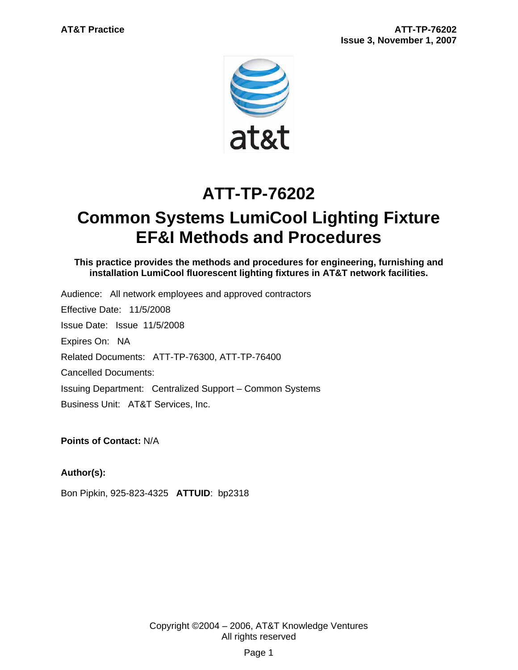

# **ATT-TP-76202**

# **Common Systems LumiCool Lighting Fixture EF&I Methods and Procedures**

**This practice provides the methods and procedures for engineering, furnishing and installation LumiCool fluorescent lighting fixtures in AT&T network facilities.** 

Audience: All network employees and approved contractors Effective Date: 11/5/2008 Issue Date: Issue 11/5/2008 Expires On: NA Related Documents: ATT-TP-76300, ATT-TP-76400 Cancelled Documents: Issuing Department: Centralized Support – Common Systems Business Unit: AT&T Services, Inc.

**Points of Contact:** N/A

## **Author(s):**

Bon Pipkin, 925-823-4325 **ATTUID**: bp2318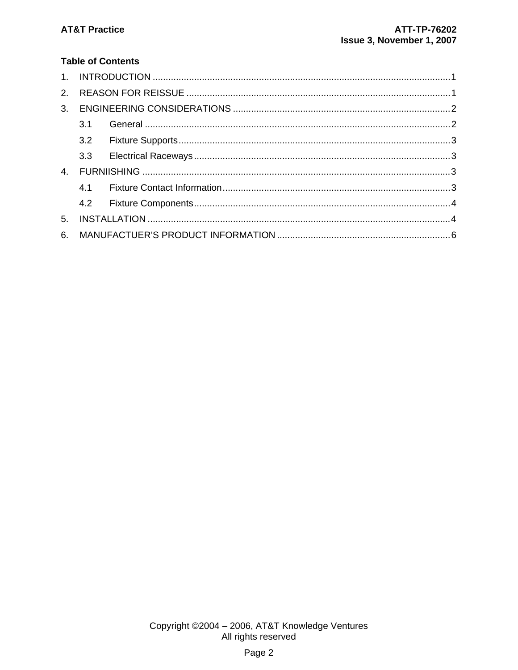## **Table of Contents**

| 2.             |     |  |  |
|----------------|-----|--|--|
| 3 <sub>1</sub> |     |  |  |
|                | 3.1 |  |  |
|                |     |  |  |
|                |     |  |  |
| 4.             |     |  |  |
|                |     |  |  |
|                |     |  |  |
| 5 <sub>1</sub> |     |  |  |
| 6.             |     |  |  |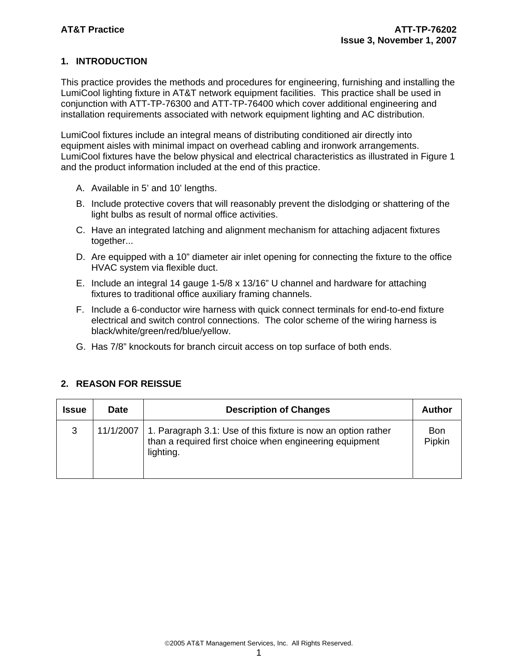## **1. INTRODUCTION**

This practice provides the methods and procedures for engineering, furnishing and installing the LumiCool lighting fixture in AT&T network equipment facilities. This practice shall be used in conjunction with ATT-TP-76300 and ATT-TP-76400 which cover additional engineering and installation requirements associated with network equipment lighting and AC distribution.

LumiCool fixtures include an integral means of distributing conditioned air directly into equipment aisles with minimal impact on overhead cabling and ironwork arrangements. LumiCool fixtures have the below physical and electrical characteristics as illustrated in Figure 1 and the product information included at the end of this practice.

- A. Available in 5' and 10' lengths.
- B. Include protective covers that will reasonably prevent the dislodging or shattering of the light bulbs as result of normal office activities.
- C. Have an integrated latching and alignment mechanism for attaching adjacent fixtures together...
- D. Are equipped with a 10" diameter air inlet opening for connecting the fixture to the office HVAC system via flexible duct.
- E. Include an integral 14 gauge 1-5/8 x 13/16" U channel and hardware for attaching fixtures to traditional office auxiliary framing channels.
- F. Include a 6-conductor wire harness with quick connect terminals for end-to-end fixture electrical and switch control connections. The color scheme of the wiring harness is black/white/green/red/blue/yellow.
- G. Has 7/8" knockouts for branch circuit access on top surface of both ends.

| Issue | <b>Date</b> | <b>Description of Changes</b>                                                                                                         | <b>Author</b>        |
|-------|-------------|---------------------------------------------------------------------------------------------------------------------------------------|----------------------|
| 3     | 11/1/2007   | 1. Paragraph 3.1: Use of this fixture is now an option rather<br>than a required first choice when engineering equipment<br>lighting. | <b>Bon</b><br>Pipkin |

#### **2. REASON FOR REISSUE**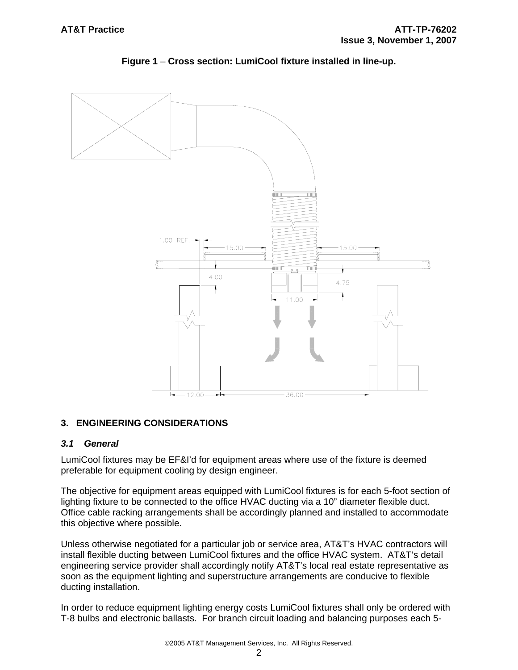

**Figure 1** – **Cross section: LumiCool fixture installed in line-up.**

## **3. ENGINEERING CONSIDERATIONS**

#### *3.1 General*

LumiCool fixtures may be EF&I'd for equipment areas where use of the fixture is deemed preferable for equipment cooling by design engineer.

The objective for equipment areas equipped with LumiCool fixtures is for each 5-foot section of lighting fixture to be connected to the office HVAC ducting via a 10" diameter flexible duct. Office cable racking arrangements shall be accordingly planned and installed to accommodate this objective where possible.

Unless otherwise negotiated for a particular job or service area, AT&T's HVAC contractors will install flexible ducting between LumiCool fixtures and the office HVAC system. AT&T's detail engineering service provider shall accordingly notify AT&T's local real estate representative as soon as the equipment lighting and superstructure arrangements are conducive to flexible ducting installation.

In order to reduce equipment lighting energy costs LumiCool fixtures shall only be ordered with T-8 bulbs and electronic ballasts. For branch circuit loading and balancing purposes each 5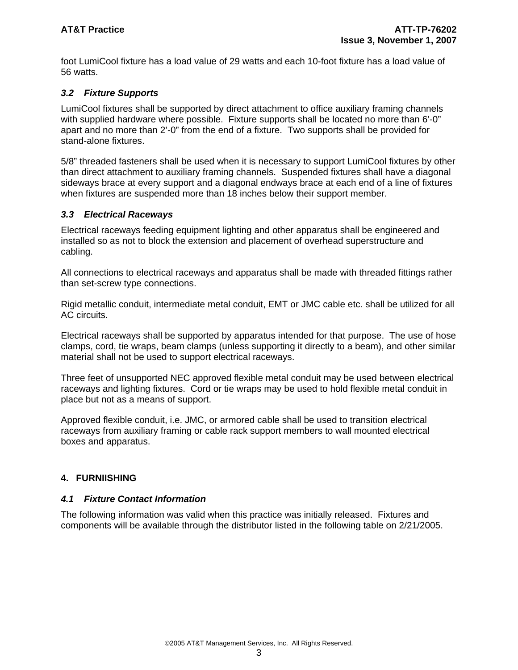foot LumiCool fixture has a load value of 29 watts and each 10-foot fixture has a load value of 56 watts.

## *3.2 Fixture Supports*

LumiCool fixtures shall be supported by direct attachment to office auxiliary framing channels with supplied hardware where possible. Fixture supports shall be located no more than 6'-0" apart and no more than 2'-0" from the end of a fixture. Two supports shall be provided for stand-alone fixtures.

5/8" threaded fasteners shall be used when it is necessary to support LumiCool fixtures by other than direct attachment to auxiliary framing channels. Suspended fixtures shall have a diagonal sideways brace at every support and a diagonal endways brace at each end of a line of fixtures when fixtures are suspended more than 18 inches below their support member.

#### *3.3 Electrical Raceways*

Electrical raceways feeding equipment lighting and other apparatus shall be engineered and installed so as not to block the extension and placement of overhead superstructure and cabling.

All connections to electrical raceways and apparatus shall be made with threaded fittings rather than set-screw type connections.

Rigid metallic conduit, intermediate metal conduit, EMT or JMC cable etc. shall be utilized for all AC circuits.

Electrical raceways shall be supported by apparatus intended for that purpose. The use of hose clamps, cord, tie wraps, beam clamps (unless supporting it directly to a beam), and other similar material shall not be used to support electrical raceways.

Three feet of unsupported NEC approved flexible metal conduit may be used between electrical raceways and lighting fixtures. Cord or tie wraps may be used to hold flexible metal conduit in place but not as a means of support.

Approved flexible conduit, i.e. JMC, or armored cable shall be used to transition electrical raceways from auxiliary framing or cable rack support members to wall mounted electrical boxes and apparatus.

#### **4. FURNIISHING**

#### *4.1 Fixture Contact Information*

The following information was valid when this practice was initially released. Fixtures and components will be available through the distributor listed in the following table on 2/21/2005.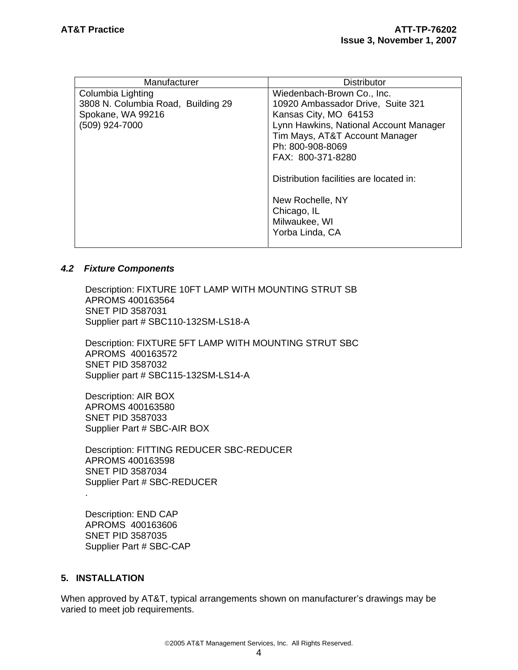| Manufacturer                       | Distributor                             |  |  |
|------------------------------------|-----------------------------------------|--|--|
| Columbia Lighting                  | Wiedenbach-Brown Co., Inc.              |  |  |
| 3808 N. Columbia Road, Building 29 | 10920 Ambassador Drive, Suite 321       |  |  |
| Spokane, WA 99216                  | Kansas City, MO 64153                   |  |  |
| (509) 924-7000                     | Lynn Hawkins, National Account Manager  |  |  |
|                                    | Tim Mays, AT&T Account Manager          |  |  |
|                                    | Ph: 800-908-8069                        |  |  |
|                                    | FAX: 800-371-8280                       |  |  |
|                                    | Distribution facilities are located in: |  |  |
|                                    |                                         |  |  |
|                                    | New Rochelle, NY                        |  |  |
|                                    | Chicago, IL                             |  |  |
|                                    | Milwaukee, WI                           |  |  |
|                                    | Yorba Linda, CA                         |  |  |
|                                    |                                         |  |  |

#### *4.2 Fixture Components*

Description: FIXTURE 10FT LAMP WITH MOUNTING STRUT SB APROMS 400163564 SNET PID 3587031 Supplier part # SBC110-132SM-LS18-A

Description: FIXTURE 5FT LAMP WITH MOUNTING STRUT SBC APROMS 400163572 SNET PID 3587032 Supplier part # SBC115-132SM-LS14-A

Description: AIR BOX APROMS 400163580 SNET PID 3587033 Supplier Part # SBC-AIR BOX

Description: FITTING REDUCER SBC-REDUCER APROMS 400163598 SNET PID 3587034 Supplier Part # SBC-REDUCER .

Description: END CAP APROMS 400163606 SNET PID 3587035 Supplier Part # SBC-CAP

## **5. INSTALLATION**

When approved by AT&T, typical arrangements shown on manufacturer's drawings may be varied to meet job requirements.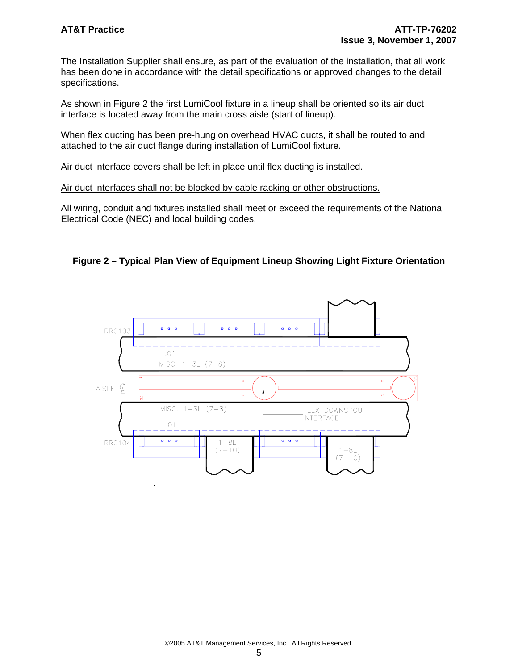The Installation Supplier shall ensure, as part of the evaluation of the installation, that all work has been done in accordance with the detail specifications or approved changes to the detail specifications.

As shown in Figure 2 the first LumiCool fixture in a lineup shall be oriented so its air duct interface is located away from the main cross aisle (start of lineup).

When flex ducting has been pre-hung on overhead HVAC ducts, it shall be routed to and attached to the air duct flange during installation of LumiCool fixture.

Air duct interface covers shall be left in place until flex ducting is installed.

Air duct interfaces shall not be blocked by cable racking or other obstructions.

All wiring, conduit and fixtures installed shall meet or exceed the requirements of the National Electrical Code (NEC) and local building codes.



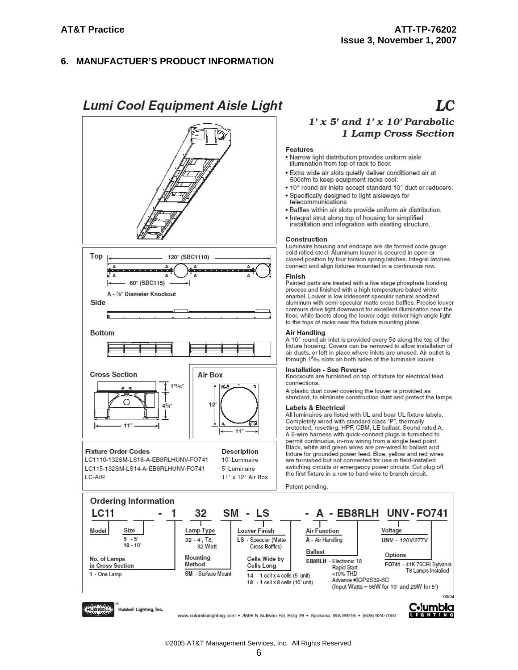#### **MANUFACTUER'S PRODUCT INFORMATION** 6.

## **Lumi Cool Equipment Aisle Light**



## $\mathbf{L}$

## $1'x 5'$  and  $1'x 10'$  Parabolic 1 Lamp Cross Section

#### **Features**

- . Narrow light distribution provides uniform aisle illumination from top of rack to floor.
- · Extra wide air slots quietly deliver conditioned air at 500cfm to keep equipment racks cool.
- . 10" round air inlets accept standard 10" duct or reducers.
- · Specifically designed to light aisleways for<br>telecommunications
- · Baffles within air slots provide uniform air distribution.
- 
- Integral strut along top of housing for simplified<br>installation and integration with existing structure.

#### Construction

Luminaire housing and endcaps are die formed code gauge<br>cold rolled steel. Aluminum louver is secured in open or closed position by four torsion spring latches. Integral latches connect and align fixtures mounted in a continuous row.

#### Finish

Painted parts are treated with a five stage phosphate bonding process and finished with a high temperature baked white enamel. Louver is low iridescent specular natural anodized aluminum with semi-specular matte cross baffles. Precise louver contours drive light downward for excellent illumination near the floor, while facets along the louver edge deliver high-angle light to the tops of racks near the fixture mounting plane.

#### **Air Handling**

A 10" round air inlet is provided every 5¢ along the top of the fixture housing. Covers can be removed to allow installation of air ducts, or left in place where inlets are unused. Air outlet is through 1%≤ slots on both sides of the luminaire louver.

#### **Installation - See Reverse**

Knockouts are furnished on top of fixture for electrical feed connections.

A plastic dust cover covering the louver is provided as standard, to eliminate construction dust and protect the lamps.

#### **Labels & Electrical**

All luminaires are listed with UL and bear UL fixture labels. Completely wired with standard class "P", thermally<br>protected, resetting, HPF, CBM, LE ballast. Sound rated A. A 6-wire harness with quick-connect plugs is furnished to permit continuous, in-row wiring from a single feed point.<br>Black, white and green wires are pre-wired to ballast and<br>fixture for grounded power feed. Blue, yellow and red wires are furnished but not connected for use in field-installed switching circuits or emergency power circuits. Cut plug off the first fixture in a row to hard-wire to branch circuit.

Patent pending.



www.columbialighting.com · 3808 N Sullivan Rd, Bldg 29 · Spokane, WA 99216 · (509) 924-7000